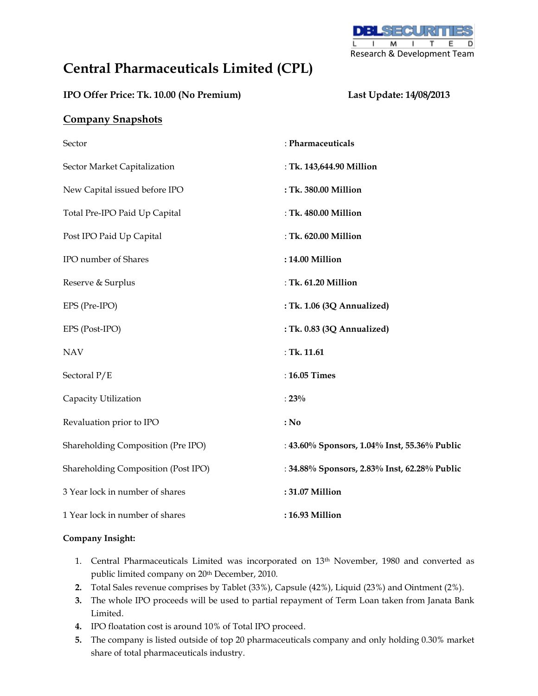

# **Central Pharmaceuticals Limited (CPL)**

### **IPO Offer Price: Tk. 10.00 (No Premium) Last Update: 14/08/2013**

## **Company Snapshots**

| Sector                              | : Pharmaceuticals                            |  |  |
|-------------------------------------|----------------------------------------------|--|--|
| Sector Market Capitalization        | : Tk. 143,644.90 Million                     |  |  |
| New Capital issued before IPO       | : Tk. 380.00 Million                         |  |  |
| Total Pre-IPO Paid Up Capital       | : Tk. 480.00 Million                         |  |  |
| Post IPO Paid Up Capital            | : Tk. 620.00 Million                         |  |  |
| IPO number of Shares                | : 14.00 Million                              |  |  |
| Reserve & Surplus                   | : Tk. 61.20 Million                          |  |  |
| EPS (Pre-IPO)                       | : Tk. 1.06 (3Q Annualized)                   |  |  |
| EPS (Post-IPO)                      | : Tk. 0.83 (3Q Annualized)                   |  |  |
| <b>NAV</b>                          | : Tk. $11.61$                                |  |  |
| Sectoral P/E                        | : 16.05 Times                                |  |  |
| Capacity Utilization                | $: 23\%$                                     |  |  |
| Revaluation prior to IPO            | : No                                         |  |  |
| Shareholding Composition (Pre IPO)  | : 43.60% Sponsors, 1.04% Inst, 55.36% Public |  |  |
| Shareholding Composition (Post IPO) | : 34.88% Sponsors, 2.83% Inst, 62.28% Public |  |  |
| 3 Year lock in number of shares     | : 31.07 Million                              |  |  |
| 1 Year lock in number of shares     | : 16.93 Million                              |  |  |

### **Company Insight:**

- 1. Central Pharmaceuticals Limited was incorporated on 13th November, 1980 and converted as public limited company on 20th December, 2010.
- **2.** Total Sales revenue comprises by Tablet (33%), Capsule (42%), Liquid (23%) and Ointment (2%).
- **3.** The whole IPO proceeds will be used to partial repayment of Term Loan taken from Janata Bank Limited.
- **4.** IPO floatation cost is around 10% of Total IPO proceed.
- **5.** The company is listed outside of top 20 pharmaceuticals company and only holding 0.30% market share of total pharmaceuticals industry.